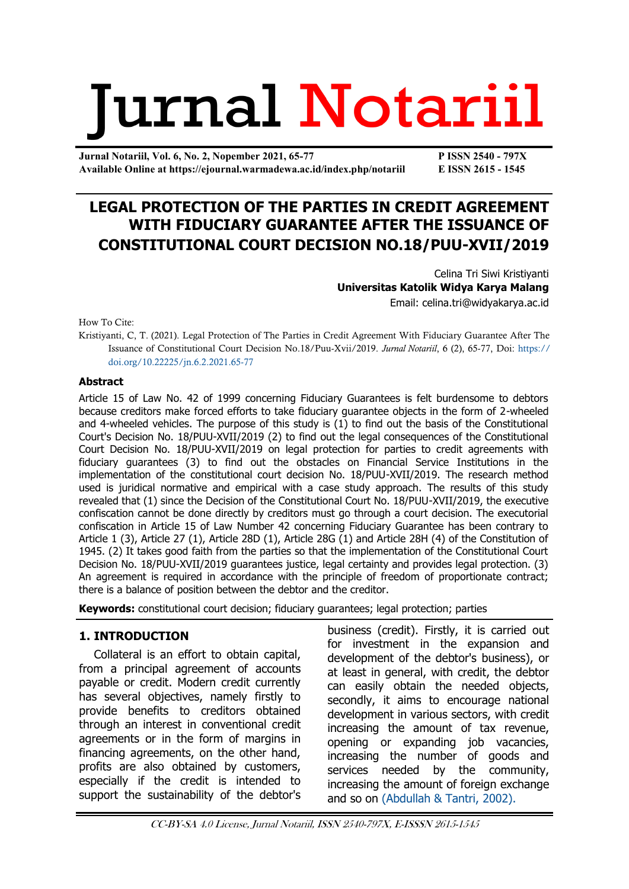# Jurnal Notariil

**Jurnal Notariil, Vol. 6, No. 2, Nopember 2021, 65-77 P ISSN 2540 - 797X Available Online at https://ejournal.warmadewa.ac.id/index.php/notariil E ISSN 2615 - 1545**

# **LEGAL PROTECTION OF THE PARTIES IN CREDIT AGREEMENT WITH FIDUCIARY GUARANTEE AFTER THE ISSUANCE OF CONSTITUTIONAL COURT DECISION NO.18/PUU-XVII/2019**

Celina Tri Siwi Kristiyanti **Universitas Katolik Widya Karya Malang** Email: [celina.tri@widyakarya.ac.id](mailto:celina.tri@widyakarya.ac.id)

How To Cite:

Kristiyanti, C, T. (2021). Legal Protection of The Parties in Credit Agreement With Fiduciary Guarantee After The Issuance of Constitutional Court Decision No.18/Puu-Xvii/2019. *Jurnal Notariil*, 6 (2), 65-77, Doi: [https://](https://ejournal.warmadewa.id/index.php/notariil/article/view/4183) [doi.org/10.22225/jn.6.2.2021.65-77](https://ejournal.warmadewa.id/index.php/notariil/article/view/4183)

#### **Abstract**

Article 15 of Law No. 42 of 1999 concerning Fiduciary Guarantees is felt burdensome to debtors because creditors make forced efforts to take fiduciary guarantee objects in the form of 2-wheeled and 4-wheeled vehicles. The purpose of this study is (1) to find out the basis of the Constitutional Court's Decision No. 18/PUU-XVII/2019 (2) to find out the legal consequences of the Constitutional Court Decision No. 18/PUU-XVII/2019 on legal protection for parties to credit agreements with fiduciary guarantees (3) to find out the obstacles on Financial Service Institutions in the implementation of the constitutional court decision No. 18/PUU-XVII/2019. The research method used is juridical normative and empirical with a case study approach. The results of this study revealed that (1) since the Decision of the Constitutional Court No. 18/PUU-XVII/2019, the executive confiscation cannot be done directly by creditors must go through a court decision. The executorial confiscation in Article 15 of Law Number 42 concerning Fiduciary Guarantee has been contrary to Article 1 (3), Article 27 (1), Article 28D (1), Article 28G (1) and Article 28H (4) of the Constitution of 1945. (2) It takes good faith from the parties so that the implementation of the Constitutional Court Decision No. 18/PUU-XVII/2019 guarantees justice, legal certainty and provides legal protection. (3) An agreement is required in accordance with the principle of freedom of proportionate contract; there is a balance of position between the debtor and the creditor.

**Keywords:** constitutional court decision; fiduciary guarantees; legal protection; parties

#### **1. INTRODUCTION**

Collateral is an effort to obtain capital, from a principal agreement of accounts payable or credit. Modern credit currently has several objectives, namely firstly to provide benefits to creditors obtained through an interest in conventional credit agreements or in the form of margins in financing agreements, on the other hand, profits are also obtained by customers, especially if the credit is intended to support the sustainability of the debtor's

business (credit). Firstly, it is carried out for investment in the expansion and development of the debtor's business), or at least in general, with credit, the debtor can easily obtain the needed objects, secondly, it aims to encourage national development in various sectors, with credit increasing the amount of tax revenue, opening or expanding job vacancies, increasing the number of goods and services needed by the community, increasing the amount of foreign exchange and so on [\(Abdullah & Tantri, 2002\).](#page-11-0)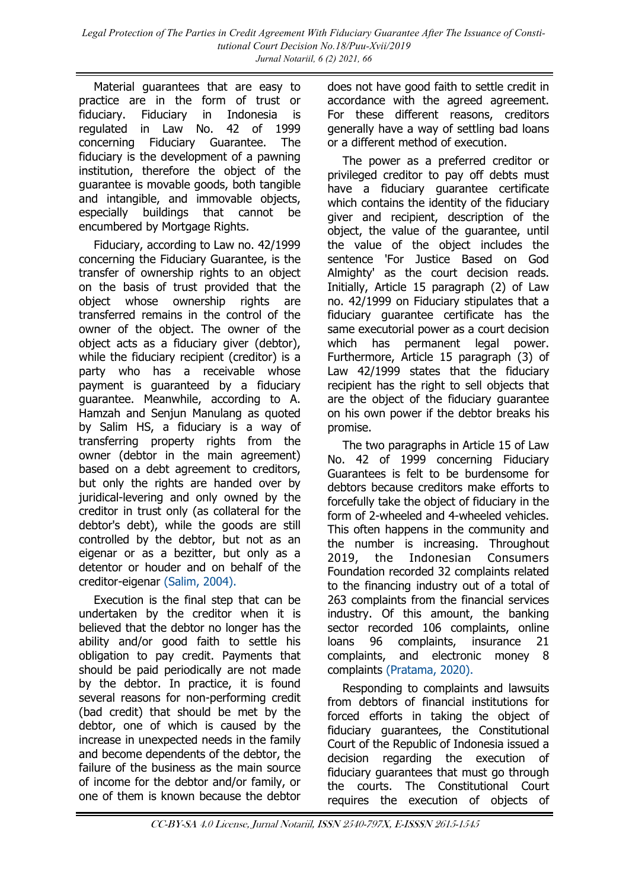Material guarantees that are easy to practice are in the form of trust or fiduciary. Fiduciary in Indonesia is regulated in Law No. 42 of 1999 concerning Fiduciary Guarantee. The fiduciary is the development of a pawning institution, therefore the object of the guarantee is movable goods, both tangible and intangible, and immovable objects, especially buildings that cannot be encumbered by Mortgage Rights.

Fiduciary, according to Law no. 42/1999 concerning the Fiduciary Guarantee, is the transfer of ownership rights to an object on the basis of trust provided that the object whose ownership rights are transferred remains in the control of the owner of the object. The owner of the object acts as a fiduciary giver (debtor), while the fiduciary recipient (creditor) is a party who has a receivable whose payment is guaranteed by a fiduciary guarantee. Meanwhile, according to A. Hamzah and Senjun Manulang as quoted by Salim HS, a fiduciary is a way of transferring property rights from the owner (debtor in the main agreement) based on a debt agreement to creditors, but only the rights are handed over by juridical-levering and only owned by the creditor in trust only (as collateral for the debtor's debt), while the goods are still controlled by the debtor, but not as an eigenar or as a bezitter, but only as a detentor or houder and on behalf of the creditor-eigenar [\(Salim, 2004\).](#page-11-0)

Execution is the final step that can be undertaken by the creditor when it is believed that the debtor no longer has the ability and/or good faith to settle his obligation to pay credit. Payments that should be paid periodically are not made by the debtor. In practice, it is found several reasons for non-performing credit (bad credit) that should be met by the debtor, one of which is caused by the increase in unexpected needs in the family and become dependents of the debtor, the failure of the business as the main source of income for the debtor and/or family, or one of them is known because the debtor

does not have good faith to settle credit in accordance with the agreed agreement. For these different reasons, creditors generally have a way of settling bad loans or a different method of execution.

The power as a preferred creditor or privileged creditor to pay off debts must have a fiduciary guarantee certificate which contains the identity of the fiduciary giver and recipient, description of the object, the value of the guarantee, until the value of the object includes the sentence 'For Justice Based on God Almighty' as the court decision reads. Initially, Article 15 paragraph (2) of Law no. 42/1999 on Fiduciary stipulates that a fiduciary guarantee certificate has the same executorial power as a court decision which has permanent legal power. Furthermore, Article 15 paragraph (3) of Law 42/1999 states that the fiduciary recipient has the right to sell objects that are the object of the fiduciary guarantee on his own power if the debtor breaks his promise.

The two paragraphs in Article 15 of Law No. 42 of 1999 concerning Fiduciary Guarantees is felt to be burdensome for debtors because creditors make efforts to forcefully take the object of fiduciary in the form of 2-wheeled and 4-wheeled vehicles. This often happens in the community and the number is increasing. Throughout 2019, the Indonesian Consumers Foundation recorded 32 complaints related to the financing industry out of a total of 263 complaints from the financial services industry. Of this amount, the banking sector recorded 106 complaints, online loans 96 complaints, insurance 21 complaints, and electronic money 8 complaints [\(Pratama, 2020\).](#page-11-0)

Responding to complaints and lawsuits from debtors of financial institutions for forced efforts in taking the object of fiduciary guarantees, the Constitutional Court of the Republic of Indonesia issued a decision regarding the execution of fiduciary guarantees that must go through the courts. The Constitutional Court requires the execution of objects of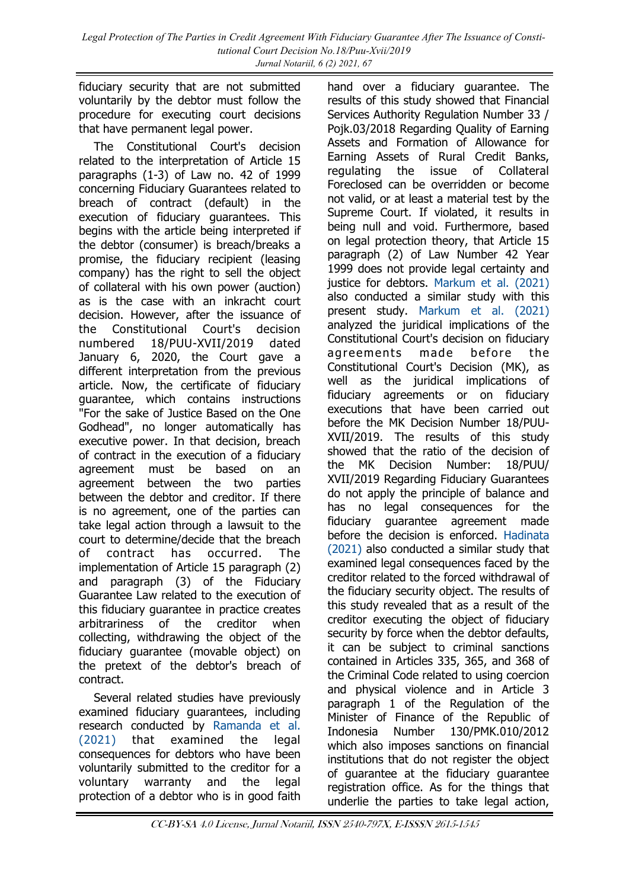fiduciary security that are not submitted voluntarily by the debtor must follow the procedure for executing court decisions that have permanent legal power.

The Constitutional Court's decision related to the interpretation of Article 15 paragraphs (1-3) of Law no. 42 of 1999 concerning Fiduciary Guarantees related to breach of contract (default) in the execution of fiduciary guarantees. This begins with the article being interpreted if the debtor (consumer) is breach/breaks a promise, the fiduciary recipient (leasing company) has the right to sell the object of collateral with his own power (auction) as is the case with an inkracht court decision. However, after the issuance of the Constitutional Court's decision numbered 18/PUU-XVII/2019 dated January 6, 2020, the Court gave a different interpretation from the previous article. Now, the certificate of fiduciary guarantee, which contains instructions "For the sake of Justice Based on the One Godhead", no longer automatically has executive power. In that decision, breach of contract in the execution of a fiduciary agreement must be based on an agreement between the two parties between the debtor and creditor. If there is no agreement, one of the parties can take legal action through a lawsuit to the court to determine/decide that the breach of contract has occurred. The implementation of Article 15 paragraph (2) and paragraph (3) of the Fiduciary Guarantee Law related to the execution of this fiduciary guarantee in practice creates arbitrariness of the creditor when collecting, withdrawing the object of the fiduciary guarantee (movable object) on the pretext of the debtor's breach of contract.

Several related studies have previously examined fiduciary guarantees, including research conducted by [Ramanda et al.](#page-11-0)  [\(2021\)](#page-11-0) that examined the legal consequences for debtors who have been voluntarily submitted to the creditor for a voluntary warranty and the legal protection of a debtor who is in good faith

hand over a fiduciary guarantee. The results of this study showed that Financial Services Authority Regulation Number 33 / Pojk.03/2018 Regarding Quality of Earning Assets and Formation of Allowance for Earning Assets of Rural Credit Banks, regulating the issue of Collateral Foreclosed can be overridden or become not valid, or at least a material test by the Supreme Court. If violated, it results in being null and void. Furthermore, based on legal protection theory, that Article 15 paragraph (2) of Law Number 42 Year 1999 does not provide legal certainty and justice for debtors. [Markum et al. \(2021\)](#page-11-0) also conducted a similar study with this present study. [Markum et al. \(2021\)](#page-11-0) analyzed the juridical implications of the Constitutional Court's decision on fiduciary agreements made before the Constitutional Court's Decision (MK), as well as the juridical implications of fiduciary agreements or on fiduciary executions that have been carried out before the MK Decision Number 18/PUU-XVII/2019. The results of this study showed that the ratio of the decision of the MK Decision Number: 18/PUU/ XVII/2019 Regarding Fiduciary Guarantees do not apply the principle of balance and has no legal consequences for the fiduciary guarantee agreement made before the decision is enforced. [Hadinata](#page-11-0)  [\(2021\)](#page-11-0) also conducted a similar study that examined legal consequences faced by the creditor related to the forced withdrawal of the fiduciary security object. The results of this study revealed that as a result of the creditor executing the object of fiduciary security by force when the debtor defaults, it can be subject to criminal sanctions contained in Articles 335, 365, and 368 of the Criminal Code related to using coercion and physical violence and in Article 3 paragraph 1 of the Regulation of the Minister of Finance of the Republic of Indonesia Number 130/PMK.010/2012 which also imposes sanctions on financial institutions that do not register the object of guarantee at the fiduciary guarantee registration office. As for the things that underlie the parties to take legal action,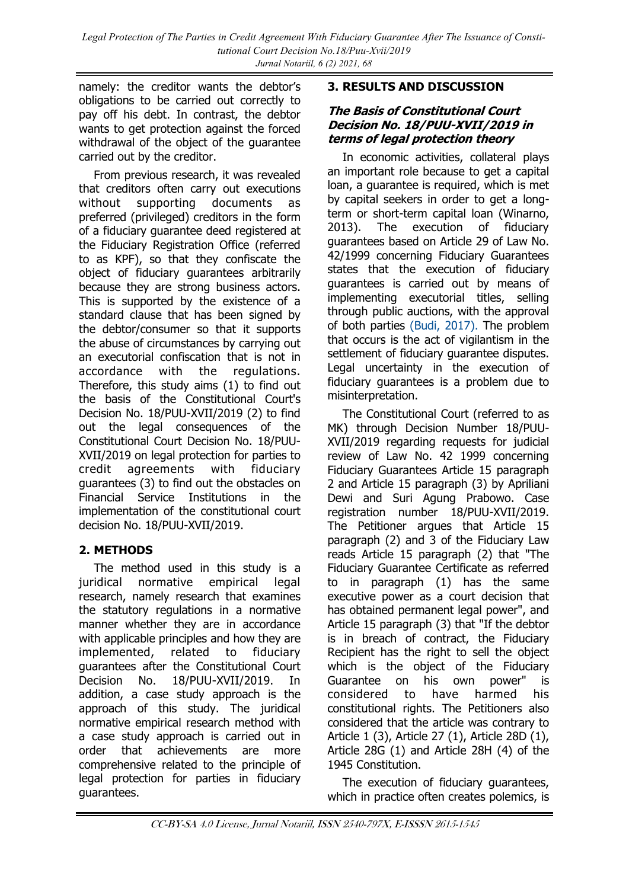namely: the creditor wants the debtor's obligations to be carried out correctly to pay off his debt. In contrast, the debtor wants to get protection against the forced withdrawal of the object of the guarantee carried out by the creditor.

From previous research, it was revealed that creditors often carry out executions without supporting documents as preferred (privileged) creditors in the form of a fiduciary guarantee deed registered at the Fiduciary Registration Office (referred to as KPF), so that they confiscate the object of fiduciary guarantees arbitrarily because they are strong business actors. This is supported by the existence of a standard clause that has been signed by the debtor/consumer so that it supports the abuse of circumstances by carrying out an executorial confiscation that is not in accordance with the regulations. Therefore, this study aims (1) to find out the basis of the Constitutional Court's Decision No. 18/PUU-XVII/2019 (2) to find out the legal consequences of the Constitutional Court Decision No. 18/PUU-XVII/2019 on legal protection for parties to credit agreements with fiduciary guarantees (3) to find out the obstacles on Financial Service Institutions in the implementation of the constitutional court decision No. 18/PUU-XVII/2019.

## **2. METHODS**

The method used in this study is a juridical normative empirical legal research, namely research that examines the statutory regulations in a normative manner whether they are in accordance with applicable principles and how they are implemented, related to fiduciary guarantees after the Constitutional Court Decision No. 18/PUU-XVII/2019. In addition, a case study approach is the approach of this study. The juridical normative empirical research method with a case study approach is carried out in order that achievements are more comprehensive related to the principle of legal protection for parties in fiduciary guarantees.

#### **3. RESULTS AND DISCUSSION**

#### **The Basis of Constitutional Court Decision No. 18/PUU-XVII/2019 in terms of legal protection theory**

In economic activities, collateral plays an important role because to get a capital loan, a guarantee is required, which is met by capital seekers in order to get a longterm or short-term capital loan (Winarno, 2013). The execution of fiduciary guarantees based on Article 29 of Law No. 42/1999 concerning Fiduciary Guarantees states that the execution of fiduciary guarantees is carried out by means of implementing executorial titles, selling through public auctions, with the approval of both parties [\(Budi, 2017\).](#page-11-0) The problem that occurs is the act of vigilantism in the settlement of fiduciary guarantee disputes. Legal uncertainty in the execution of fiduciary guarantees is a problem due to misinterpretation.

The Constitutional Court (referred to as MK) through Decision Number 18/PUU-XVII/2019 regarding requests for judicial review of Law No. 42 1999 concerning Fiduciary Guarantees Article 15 paragraph 2 and Article 15 paragraph (3) by Apriliani Dewi and Suri Agung Prabowo. Case registration number 18/PUU-XVII/2019. The Petitioner argues that Article 15 paragraph (2) and 3 of the Fiduciary Law reads Article 15 paragraph (2) that "The Fiduciary Guarantee Certificate as referred to in paragraph (1) has the same executive power as a court decision that has obtained permanent legal power", and Article 15 paragraph (3) that "If the debtor is in breach of contract, the Fiduciary Recipient has the right to sell the object which is the object of the Fiduciary Guarantee on his own power" is considered to have harmed his constitutional rights. The Petitioners also considered that the article was contrary to Article 1 (3), Article 27 (1), Article 28D (1), Article 28G (1) and Article 28H (4) of the 1945 Constitution.

The execution of fiduciary guarantees, which in practice often creates polemics, is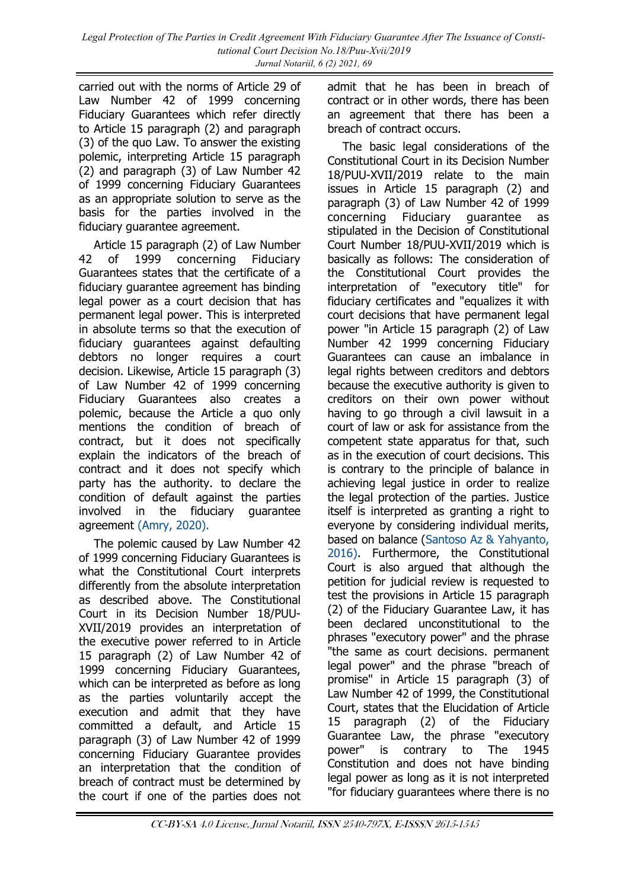carried out with the norms of Article 29 of Law Number 42 of 1999 concerning Fiduciary Guarantees which refer directly to Article 15 paragraph (2) and paragraph (3) of the quo Law. To answer the existing polemic, interpreting Article 15 paragraph (2) and paragraph (3) of Law Number 42 of 1999 concerning Fiduciary Guarantees as an appropriate solution to serve as the basis for the parties involved in the fiduciary guarantee agreement.

Article 15 paragraph (2) of Law Number 42 of 1999 concerning Fiduciary Guarantees states that the certificate of a fiduciary guarantee agreement has binding legal power as a court decision that has permanent legal power. This is interpreted in absolute terms so that the execution of fiduciary guarantees against defaulting debtors no longer requires a court decision. Likewise, Article 15 paragraph (3) of Law Number 42 of 1999 concerning Fiduciary Guarantees also creates a polemic, because the Article a quo only mentions the condition of breach of contract, but it does not specifically explain the indicators of the breach of contract and it does not specify which party has the authority. to declare the condition of default against the parties involved in the fiduciary guarantee agreement [\(Amry, 2020\).](#page-11-0)

The polemic caused by Law Number 42 of 1999 concerning Fiduciary Guarantees is what the Constitutional Court interprets differently from the absolute interpretation as described above. The Constitutional Court in its Decision Number 18/PUU-XVII/2019 provides an interpretation of the executive power referred to in Article 15 paragraph (2) of Law Number 42 of 1999 concerning Fiduciary Guarantees, which can be interpreted as before as long as the parties voluntarily accept the execution and admit that they have committed a default, and Article 15 paragraph (3) of Law Number 42 of 1999 concerning Fiduciary Guarantee provides an interpretation that the condition of breach of contract must be determined by the court if one of the parties does not

admit that he has been in breach of contract or in other words, there has been an agreement that there has been a breach of contract occurs.

The basic legal considerations of the Constitutional Court in its Decision Number 18/PUU-XVII/2019 relate to the main issues in Article 15 paragraph (2) and paragraph (3) of Law Number 42 of 1999 concerning Fiduciary guarantee as stipulated in the Decision of Constitutional Court Number 18/PUU-XVII/2019 which is basically as follows: The consideration of the Constitutional Court provides the interpretation of "executory title" for fiduciary certificates and "equalizes it with court decisions that have permanent legal power "in Article 15 paragraph (2) of Law Number 42 1999 concerning Fiduciary Guarantees can cause an imbalance in legal rights between creditors and debtors because the executive authority is given to creditors on their own power without having to go through a civil lawsuit in a court of law or ask for assistance from the competent state apparatus for that, such as in the execution of court decisions. This is contrary to the principle of balance in achieving legal justice in order to realize the legal protection of the parties. Justice itself is interpreted as granting a right to everyone by considering individual merits, based on balance ([Santoso Az & Yahyanto,](#page-11-0)  [2016\).](#page-11-0) Furthermore, the Constitutional Court is also argued that although the petition for judicial review is requested to test the provisions in Article 15 paragraph (2) of the Fiduciary Guarantee Law, it has been declared unconstitutional to the phrases "executory power" and the phrase "the same as court decisions. permanent legal power" and the phrase "breach of promise" in Article 15 paragraph (3) of Law Number 42 of 1999, the Constitutional Court, states that the Elucidation of Article 15 paragraph (2) of the Fiduciary Guarantee Law, the phrase "executory power" is contrary to The 1945 Constitution and does not have binding legal power as long as it is not interpreted "for fiduciary guarantees where there is no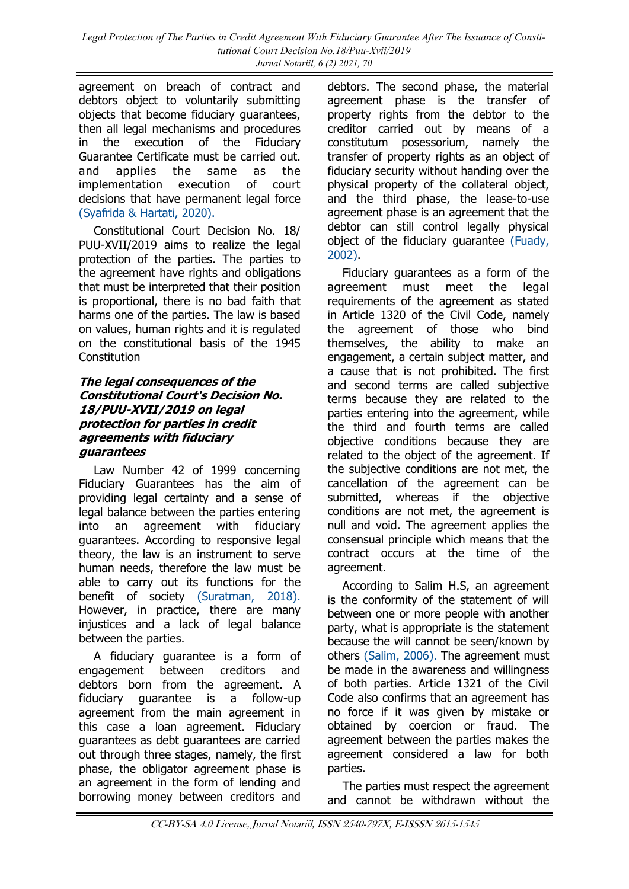agreement on breach of contract and debtors object to voluntarily submitting objects that become fiduciary guarantees, then all legal mechanisms and procedures in the execution of the Fiduciary Guarantee Certificate must be carried out. and applies the same as the implementation execution of court decisions that have permanent legal force [\(Syafrida & Hartati, 2020\).](#page-11-0)

Constitutional Court Decision No. 18/ PUU-XVII/2019 aims to realize the legal protection of the parties. The parties to the agreement have rights and obligations that must be interpreted that their position is proportional, there is no bad faith that harms one of the parties. The law is based on values, human rights and it is regulated on the constitutional basis of the 1945 Constitution

#### **The legal consequences of the Constitutional Court's Decision No. 18/PUU-XVII/2019 on legal protection for parties in credit agreements with fiduciary guarantees**

Law Number 42 of 1999 concerning Fiduciary Guarantees has the aim of providing legal certainty and a sense of legal balance between the parties entering into an agreement with fiduciary guarantees. According to responsive legal theory, the law is an instrument to serve human needs, therefore the law must be able to carry out its functions for the benefit of society [\(Suratman, 2018\).](#page-11-0) However, in practice, there are many injustices and a lack of legal balance between the parties.

A fiduciary guarantee is a form of engagement between creditors and debtors born from the agreement. A fiduciary guarantee is a follow-up agreement from the main agreement in this case a loan agreement. Fiduciary guarantees as debt guarantees are carried out through three stages, namely, the first phase, the obligator agreement phase is an agreement in the form of lending and borrowing money between creditors and

debtors. The second phase, the material agreement phase is the transfer of property rights from the debtor to the creditor carried out by means of a constitutum posessorium, namely the transfer of property rights as an object of fiduciary security without handing over the physical property of the collateral object, and the third phase, the lease-to-use agreement phase is an agreement that the debtor can still control legally physical object of the fiduciary guarantee [\(Fuady,](#page-11-0)  [2002\).](#page-11-0)

Fiduciary guarantees as a form of the agreement must meet the legal requirements of the agreement as stated in Article 1320 of the Civil Code, namely the agreement of those who bind themselves, the ability to make an engagement, a certain subject matter, and a cause that is not prohibited. The first and second terms are called subjective terms because they are related to the parties entering into the agreement, while the third and fourth terms are called objective conditions because they are related to the object of the agreement. If the subjective conditions are not met, the cancellation of the agreement can be submitted, whereas if the objective conditions are not met, the agreement is null and void. The agreement applies the consensual principle which means that the contract occurs at the time of the agreement.

According to Salim H.S, an agreement is the conformity of the statement of will between one or more people with another party, what is appropriate is the statement because the will cannot be seen/known by others [\(Salim, 2006\).](#page-11-0) The agreement must be made in the awareness and willingness of both parties. Article 1321 of the Civil Code also confirms that an agreement has no force if it was given by mistake or obtained by coercion or fraud. The agreement between the parties makes the agreement considered a law for both parties.

The parties must respect the agreement and cannot be withdrawn without the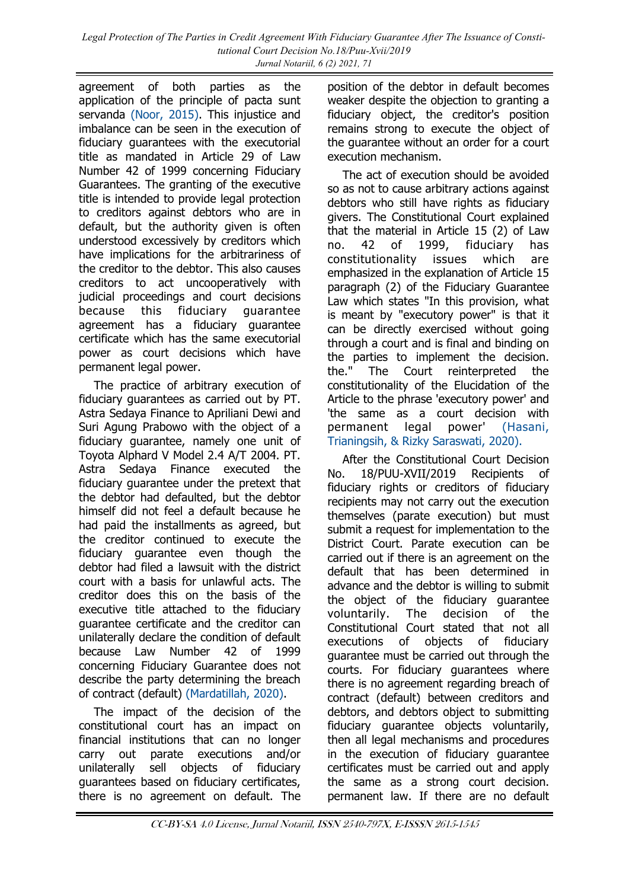agreement of both parties as the application of the principle of pacta sunt servanda [\(Noor, 2015\).](#page-11-0) This injustice and imbalance can be seen in the execution of fiduciary guarantees with the executorial title as mandated in Article 29 of Law Number 42 of 1999 concerning Fiduciary Guarantees. The granting of the executive title is intended to provide legal protection to creditors against debtors who are in default, but the authority given is often understood excessively by creditors which have implications for the arbitrariness of the creditor to the debtor. This also causes creditors to act uncooperatively with judicial proceedings and court decisions because this fiduciary guarantee agreement has a fiduciary guarantee certificate which has the same executorial power as court decisions which have permanent legal power.

The practice of arbitrary execution of fiduciary guarantees as carried out by PT. Astra Sedaya Finance to Apriliani Dewi and Suri Agung Prabowo with the object of a fiduciary guarantee, namely one unit of Toyota Alphard V Model 2.4 A/T 2004. PT. Astra Sedaya Finance executed the fiduciary guarantee under the pretext that the debtor had defaulted, but the debtor himself did not feel a default because he had paid the installments as agreed, but the creditor continued to execute the fiduciary guarantee even though the debtor had filed a lawsuit with the district court with a basis for unlawful acts. The creditor does this on the basis of the executive title attached to the fiduciary guarantee certificate and the creditor can unilaterally declare the condition of default because Law Number 42 of 1999 concerning Fiduciary Guarantee does not describe the party determining the breach of contract (default) [\(Mardatillah, 2020\).](#page-11-0)

The impact of the decision of the constitutional court has an impact on financial institutions that can no longer carry out parate executions and/or unilaterally sell objects of fiduciary guarantees based on fiduciary certificates, there is no agreement on default. The

position of the debtor in default becomes weaker despite the objection to granting a fiduciary object, the creditor's position remains strong to execute the object of the guarantee without an order for a court execution mechanism.

The act of execution should be avoided so as not to cause arbitrary actions against debtors who still have rights as fiduciary givers. The Constitutional Court explained that the material in Article 15 (2) of Law no. 42 of 1999, fiduciary has constitutionality issues which are emphasized in the explanation of Article 15 paragraph (2) of the Fiduciary Guarantee Law which states "In this provision, what is meant by "executory power" is that it can be directly exercised without going through a court and is final and binding on the parties to implement the decision. the." The Court reinterpreted the constitutionality of the Elucidation of the Article to the phrase 'executory power' and 'the same as a court decision with permanent legal power' [\(Hasani,](#page-11-0)  [Trianingsih, & Rizky Saraswati, 2020\).](#page-11-0)

After the Constitutional Court Decision No. 18/PUU-XVII/2019 Recipients of fiduciary rights or creditors of fiduciary recipients may not carry out the execution themselves (parate execution) but must submit a request for implementation to the District Court. Parate execution can be carried out if there is an agreement on the default that has been determined in advance and the debtor is willing to submit the object of the fiduciary guarantee voluntarily. The decision of the Constitutional Court stated that not all executions of objects of fiduciary guarantee must be carried out through the courts. For fiduciary guarantees where there is no agreement regarding breach of contract (default) between creditors and debtors, and debtors object to submitting fiduciary guarantee objects voluntarily, then all legal mechanisms and procedures in the execution of fiduciary guarantee certificates must be carried out and apply the same as a strong court decision. permanent law. If there are no default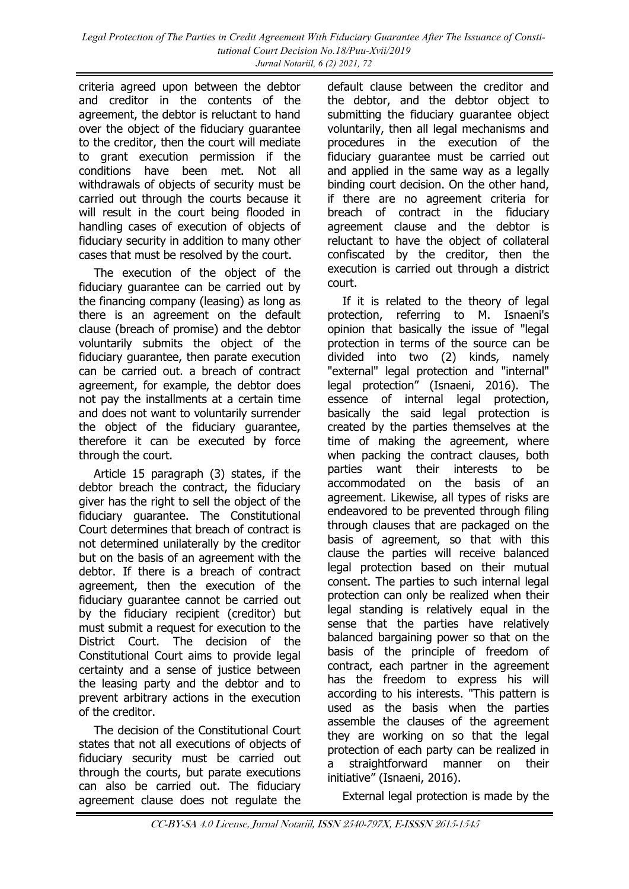criteria agreed upon between the debtor and creditor in the contents of the agreement, the debtor is reluctant to hand over the object of the fiduciary guarantee to the creditor, then the court will mediate to grant execution permission if the conditions have been met. Not all withdrawals of objects of security must be carried out through the courts because it will result in the court being flooded in handling cases of execution of objects of fiduciary security in addition to many other cases that must be resolved by the court.

The execution of the object of the fiduciary guarantee can be carried out by the financing company (leasing) as long as there is an agreement on the default clause (breach of promise) and the debtor voluntarily submits the object of the fiduciary guarantee, then parate execution can be carried out. a breach of contract agreement, for example, the debtor does not pay the installments at a certain time and does not want to voluntarily surrender the object of the fiduciary guarantee, therefore it can be executed by force through the court.

Article 15 paragraph (3) states, if the debtor breach the contract, the fiduciary giver has the right to sell the object of the fiduciary guarantee. The Constitutional Court determines that breach of contract is not determined unilaterally by the creditor but on the basis of an agreement with the debtor. If there is a breach of contract agreement, then the execution of the fiduciary guarantee cannot be carried out by the fiduciary recipient (creditor) but must submit a request for execution to the District Court. The decision of the Constitutional Court aims to provide legal certainty and a sense of justice between the leasing party and the debtor and to prevent arbitrary actions in the execution of the creditor.

The decision of the Constitutional Court states that not all executions of objects of fiduciary security must be carried out through the courts, but parate executions can also be carried out. The fiduciary agreement clause does not regulate the

default clause between the creditor and the debtor, and the debtor object to submitting the fiduciary guarantee object voluntarily, then all legal mechanisms and procedures in the execution of the fiduciary guarantee must be carried out and applied in the same way as a legally binding court decision. On the other hand, if there are no agreement criteria for breach of contract in the fiduciary agreement clause and the debtor is reluctant to have the object of collateral confiscated by the creditor, then the execution is carried out through a district court.

If it is related to the theory of legal protection, referring to M. Isnaeni's opinion that basically the issue of "legal protection in terms of the source can be divided into two (2) kinds, namely "external" legal protection and "internal" legal protection" (Isnaeni, 2016). The essence of internal legal protection, basically the said legal protection is created by the parties themselves at the time of making the agreement, where when packing the contract clauses, both parties want their interests to be accommodated on the basis of an agreement. Likewise, all types of risks are endeavored to be prevented through filing through clauses that are packaged on the basis of agreement, so that with this clause the parties will receive balanced legal protection based on their mutual consent. The parties to such internal legal protection can only be realized when their legal standing is relatively equal in the sense that the parties have relatively balanced bargaining power so that on the basis of the principle of freedom of contract, each partner in the agreement has the freedom to express his will according to his interests. "This pattern is used as the basis when the parties assemble the clauses of the agreement they are working on so that the legal protection of each party can be realized in a straightforward manner on their initiative" (Isnaeni, 2016).

External legal protection is made by the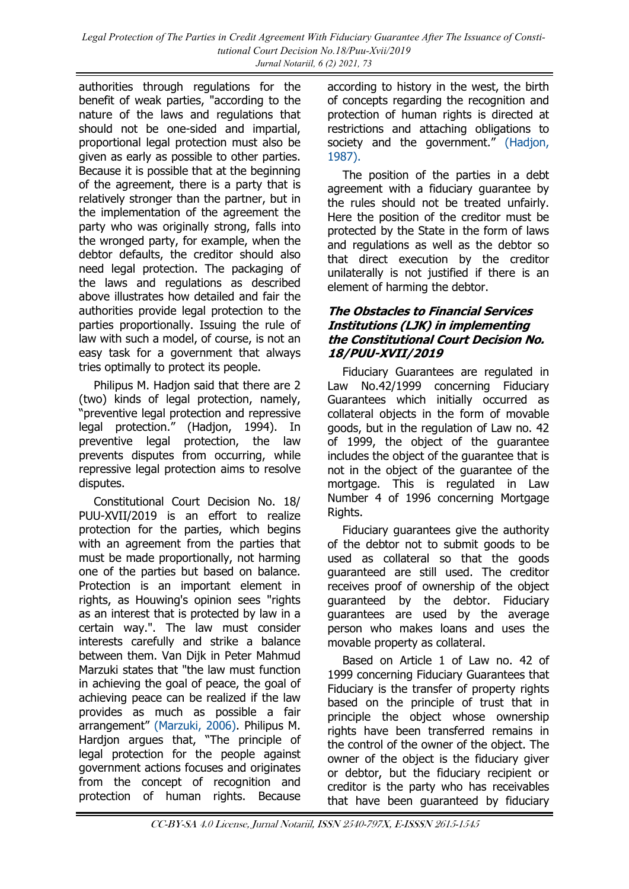authorities through regulations for the benefit of weak parties, "according to the nature of the laws and regulations that should not be one-sided and impartial, proportional legal protection must also be given as early as possible to other parties. Because it is possible that at the beginning of the agreement, there is a party that is relatively stronger than the partner, but in the implementation of the agreement the party who was originally strong, falls into the wronged party, for example, when the debtor defaults, the creditor should also need legal protection. The packaging of the laws and regulations as described above illustrates how detailed and fair the authorities provide legal protection to the parties proportionally. Issuing the rule of law with such a model, of course, is not an easy task for a government that always tries optimally to protect its people.

Philipus M. Hadjon said that there are 2 (two) kinds of legal protection, namely, "preventive legal protection and repressive legal protection." (Hadjon, 1994). In preventive legal protection, the law prevents disputes from occurring, while repressive legal protection aims to resolve disputes.

Constitutional Court Decision No. 18/ PUU-XVII/2019 is an effort to realize protection for the parties, which begins with an agreement from the parties that must be made proportionally, not harming one of the parties but based on balance. Protection is an important element in rights, as Houwing's opinion sees "rights as an interest that is protected by law in a certain way.". The law must consider interests carefully and strike a balance between them. Van Dijk in Peter Mahmud Marzuki states that "the law must function in achieving the goal of peace, the goal of achieving peace can be realized if the law provides as much as possible a fair arrangement" [\(Marzuki, 2006\).](#page-11-0) Philipus M. Hardjon argues that, "The principle of legal protection for the people against government actions focuses and originates from the concept of recognition and protection of human rights. Because

according to history in the west, the birth of concepts regarding the recognition and protection of human rights is directed at restrictions and attaching obligations to society and the government." (Hadjon, [1987\).](#page-11-0)

The position of the parties in a debt agreement with a fiduciary guarantee by the rules should not be treated unfairly. Here the position of the creditor must be protected by the State in the form of laws and regulations as well as the debtor so that direct execution by the creditor unilaterally is not justified if there is an element of harming the debtor.

#### **The Obstacles to Financial Services Institutions (LJK) in implementing the Constitutional Court Decision No. 18/PUU-XVII/2019**

Fiduciary Guarantees are regulated in Law No.42/1999 concerning Fiduciary Guarantees which initially occurred as collateral objects in the form of movable goods, but in the regulation of Law no. 42 of 1999, the object of the guarantee includes the object of the guarantee that is not in the object of the guarantee of the mortgage. This is regulated in Law Number 4 of 1996 concerning Mortgage Rights.

Fiduciary guarantees give the authority of the debtor not to submit goods to be used as collateral so that the goods guaranteed are still used. The creditor receives proof of ownership of the object guaranteed by the debtor. Fiduciary guarantees are used by the average person who makes loans and uses the movable property as collateral.

Based on Article 1 of Law no. 42 of 1999 concerning Fiduciary Guarantees that Fiduciary is the transfer of property rights based on the principle of trust that in principle the object whose ownership rights have been transferred remains in the control of the owner of the object. The owner of the object is the fiduciary giver or debtor, but the fiduciary recipient or creditor is the party who has receivables that have been guaranteed by fiduciary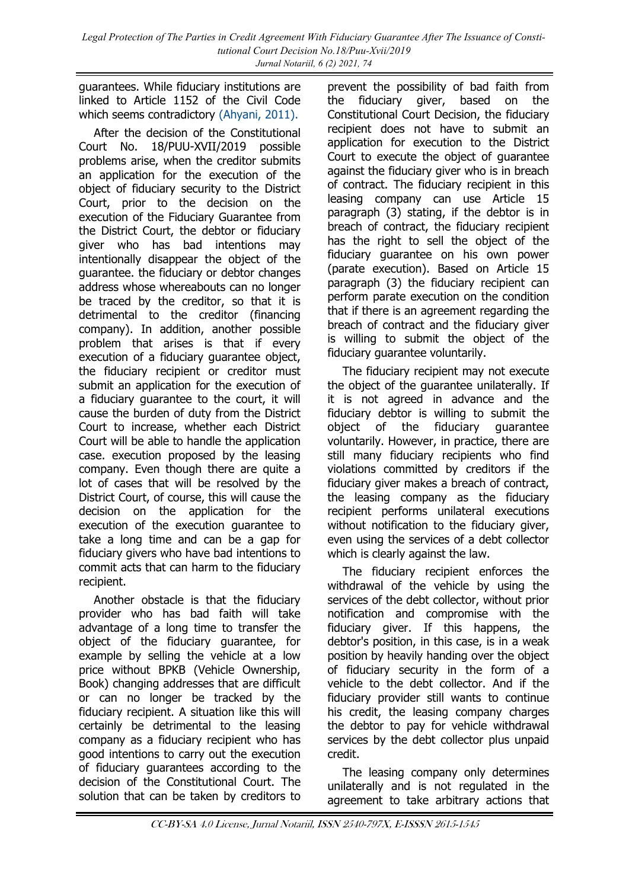guarantees. While fiduciary institutions are linked to Article 1152 of the Civil Code which seems contradictory [\(Ahyani, 2011\).](#page-11-0)

After the decision of the Constitutional Court No. 18/PUU-XVII/2019 possible problems arise, when the creditor submits an application for the execution of the object of fiduciary security to the District Court, prior to the decision on the execution of the Fiduciary Guarantee from the District Court, the debtor or fiduciary giver who has bad intentions may intentionally disappear the object of the guarantee. the fiduciary or debtor changes address whose whereabouts can no longer be traced by the creditor, so that it is detrimental to the creditor (financing company). In addition, another possible problem that arises is that if every execution of a fiduciary guarantee object, the fiduciary recipient or creditor must submit an application for the execution of a fiduciary guarantee to the court, it will cause the burden of duty from the District Court to increase, whether each District Court will be able to handle the application case. execution proposed by the leasing company. Even though there are quite a lot of cases that will be resolved by the District Court, of course, this will cause the decision on the application for the execution of the execution guarantee to take a long time and can be a gap for fiduciary givers who have bad intentions to commit acts that can harm to the fiduciary recipient.

Another obstacle is that the fiduciary provider who has bad faith will take advantage of a long time to transfer the object of the fiduciary guarantee, for example by selling the vehicle at a low price without BPKB (Vehicle Ownership, Book) changing addresses that are difficult or can no longer be tracked by the fiduciary recipient. A situation like this will certainly be detrimental to the leasing company as a fiduciary recipient who has good intentions to carry out the execution of fiduciary guarantees according to the decision of the Constitutional Court. The solution that can be taken by creditors to

prevent the possibility of bad faith from the fiduciary giver, based on the Constitutional Court Decision, the fiduciary recipient does not have to submit an application for execution to the District Court to execute the object of guarantee against the fiduciary giver who is in breach of contract. The fiduciary recipient in this leasing company can use Article 15 paragraph (3) stating, if the debtor is in breach of contract, the fiduciary recipient has the right to sell the object of the fiduciary guarantee on his own power (parate execution). Based on Article 15 paragraph (3) the fiduciary recipient can perform parate execution on the condition that if there is an agreement regarding the breach of contract and the fiduciary giver is willing to submit the object of the fiduciary guarantee voluntarily.

The fiduciary recipient may not execute the object of the guarantee unilaterally. If it is not agreed in advance and the fiduciary debtor is willing to submit the object of the fiduciary guarantee voluntarily. However, in practice, there are still many fiduciary recipients who find violations committed by creditors if the fiduciary giver makes a breach of contract, the leasing company as the fiduciary recipient performs unilateral executions without notification to the fiduciary giver, even using the services of a debt collector which is clearly against the law.

The fiduciary recipient enforces the withdrawal of the vehicle by using the services of the debt collector, without prior notification and compromise with the fiduciary giver. If this happens, the debtor's position, in this case, is in a weak position by heavily handing over the object of fiduciary security in the form of a vehicle to the debt collector. And if the fiduciary provider still wants to continue his credit, the leasing company charges the debtor to pay for vehicle withdrawal services by the debt collector plus unpaid credit.

The leasing company only determines unilaterally and is not regulated in the agreement to take arbitrary actions that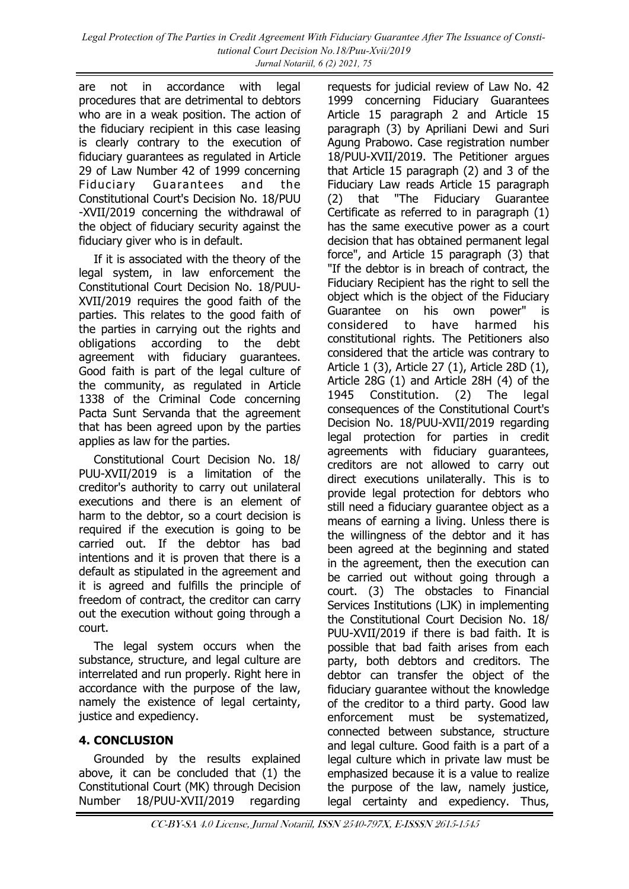are not in accordance with legal procedures that are detrimental to debtors who are in a weak position. The action of the fiduciary recipient in this case leasing is clearly contrary to the execution of fiduciary guarantees as regulated in Article 29 of Law Number 42 of 1999 concerning Fiduciary Guarantees and the Constitutional Court's Decision No. 18/PUU -XVII/2019 concerning the withdrawal of the object of fiduciary security against the fiduciary giver who is in default.

If it is associated with the theory of the legal system, in law enforcement the Constitutional Court Decision No. 18/PUU-XVII/2019 requires the good faith of the parties. This relates to the good faith of the parties in carrying out the rights and obligations according to the debt agreement with fiduciary guarantees. Good faith is part of the legal culture of the community, as regulated in Article 1338 of the Criminal Code concerning Pacta Sunt Servanda that the agreement that has been agreed upon by the parties applies as law for the parties.

Constitutional Court Decision No. 18/ PUU-XVII/2019 is a limitation of the creditor's authority to carry out unilateral executions and there is an element of harm to the debtor, so a court decision is required if the execution is going to be carried out. If the debtor has bad intentions and it is proven that there is a default as stipulated in the agreement and it is agreed and fulfills the principle of freedom of contract, the creditor can carry out the execution without going through a court.

The legal system occurs when the substance, structure, and legal culture are interrelated and run properly. Right here in accordance with the purpose of the law, namely the existence of legal certainty, justice and expediency.

## **4. CONCLUSION**

Grounded by the results explained above, it can be concluded that (1) the Constitutional Court (MK) through Decision Number 18/PUU-XVII/2019 regarding

requests for judicial review of Law No. 42 1999 concerning Fiduciary Guarantees Article 15 paragraph 2 and Article 15 paragraph (3) by Apriliani Dewi and Suri Agung Prabowo. Case registration number 18/PUU-XVII/2019. The Petitioner argues that Article 15 paragraph (2) and 3 of the Fiduciary Law reads Article 15 paragraph (2) that "The Fiduciary Guarantee Certificate as referred to in paragraph (1) has the same executive power as a court decision that has obtained permanent legal force", and Article 15 paragraph (3) that "If the debtor is in breach of contract, the Fiduciary Recipient has the right to sell the object which is the object of the Fiduciary Guarantee on his own power" is considered to have harmed his constitutional rights. The Petitioners also considered that the article was contrary to Article 1 (3), Article 27 (1), Article 28D (1), Article 28G (1) and Article 28H (4) of the 1945 Constitution. (2) The legal consequences of the Constitutional Court's Decision No. 18/PUU-XVII/2019 regarding legal protection for parties in credit agreements with fiduciary guarantees, creditors are not allowed to carry out direct executions unilaterally. This is to provide legal protection for debtors who still need a fiduciary guarantee object as a means of earning a living. Unless there is the willingness of the debtor and it has been agreed at the beginning and stated in the agreement, then the execution can be carried out without going through a court. (3) The obstacles to Financial Services Institutions (LJK) in implementing the Constitutional Court Decision No. 18/ PUU-XVII/2019 if there is bad faith. It is possible that bad faith arises from each party, both debtors and creditors. The debtor can transfer the object of the fiduciary guarantee without the knowledge of the creditor to a third party. Good law enforcement must be systematized, connected between substance, structure and legal culture. Good faith is a part of a legal culture which in private law must be emphasized because it is a value to realize the purpose of the law, namely justice, legal certainty and expediency. Thus,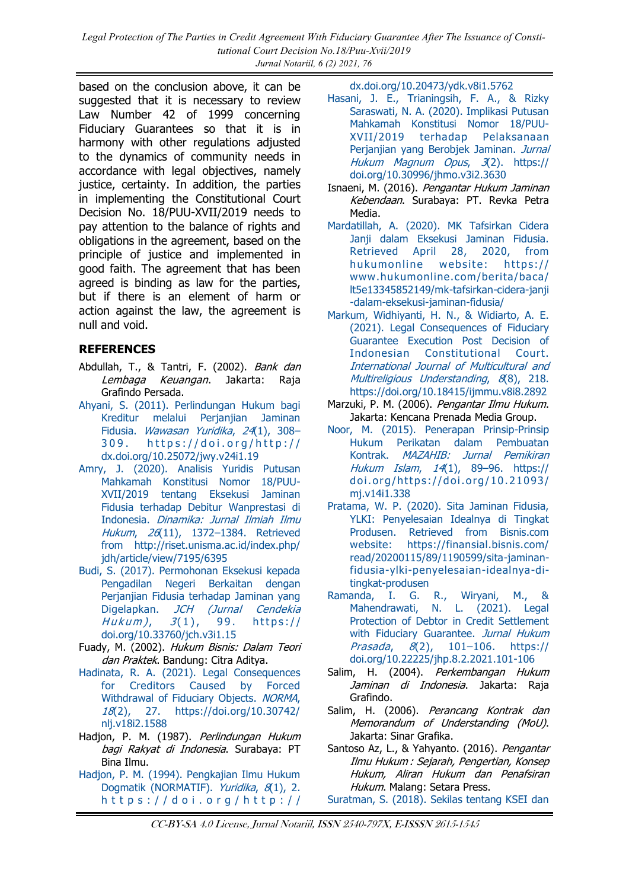<span id="page-11-0"></span>*Legal Protection of The Parties in Credit Agreement With Fiduciary Guarantee After The Issuance of Constitutional Court Decision No.18/Puu-Xvii/2019 Jurnal Notariil, 6 (2) 2021, 76*

based on the conclusion above, it can be suggested that it is necessary to review Law Number 42 of 1999 concerning Fiduciary Guarantees so that it is in harmony with other regulations adjusted to the dynamics of community needs in accordance with legal objectives, namely justice, certainty. In addition, the parties in implementing the Constitutional Court Decision No. 18/PUU-XVII/2019 needs to pay attention to the balance of rights and obligations in the agreement, based on the principle of justice and implemented in good faith. The agreement that has been agreed is binding as law for the parties, but if there is an element of harm or action against the law, the agreement is null and void.

#### **REFERENCES**

- Abdullah, T., & Tantri, F. (2002). Bank dan Lembaga Keuangan, Jakarta: Raja Grafindo Persada.
- [Ahyani, S. \(2011\). Perlindungan Hukum bagi](https://doi.org/http:/dx.doi.org/10.25072/jwy.v24i1.19)  [Kreditur melalui Perjanjian Jaminan](https://doi.org/http:/dx.doi.org/10.25072/jwy.v24i1.19)  Fidusia. [Wawasan Yuridika](https://doi.org/http:/dx.doi.org/10.25072/jwy.v24i1.19), 24(1), 308– 309. https://doi.org/http:// [dx.doi.org/10.25072/jwy.v24i1.19](https://doi.org/http:/dx.doi.org/10.25072/jwy.v24i1.19)
- [Amry, J. \(2020\). Analisis Yuridis Putusan](http://riset.unisma.ac.id/index.php/jdh/article/view/7195/6395)  [Mahkamah Konstitusi Nomor 18/PUU-](http://riset.unisma.ac.id/index.php/jdh/article/view/7195/6395)[XVII/2019 tentang Eksekusi Jaminan](http://riset.unisma.ac.id/index.php/jdh/article/view/7195/6395)  [Fidusia terhadap Debitur Wanprestasi di](http://riset.unisma.ac.id/index.php/jdh/article/view/7195/6395)  Indonesia. [Dinamika: Jurnal Ilmiah Ilmu](http://riset.unisma.ac.id/index.php/jdh/article/view/7195/6395)  Hukum, 26(11), 1372-1384. Retrieved [from http://riset.unisma.ac.id/index.php/](http://riset.unisma.ac.id/index.php/jdh/article/view/7195/6395) [jdh/article/view/7195/6395](http://riset.unisma.ac.id/index.php/jdh/article/view/7195/6395)
- [Budi, S. \(2017\). Permohonan Eksekusi kepada](https://doi.org/10.33760/jch.v3i1.15)  [Pengadilan Negeri Berkaitan dengan](https://doi.org/10.33760/jch.v3i1.15)  [Perjanjian Fidusia terhadap Jaminan yang](https://doi.org/10.33760/jch.v3i1.15)  Digelapkan. [JCH \(Jurnal Cendekia](https://doi.org/10.33760/jch.v3i1.15)  Hukum),  $3(1)$ , 99. https:// [doi.org/10.33760/jch.v3i1.15](https://doi.org/10.33760/jch.v3i1.15)
- Fuady, M. (2002). Hukum Bisnis: Dalam Teori dan Praktek. Bandung: Citra Aditya.
- [Hadinata, R. A. \(2021\). Legal Consequences](https://doi.org/10.30742/nlj.v18i2.1588)  [for Creditors Caused by Forced](https://doi.org/10.30742/nlj.v18i2.1588)  [Withdrawal of Fiduciary Objects.](https://doi.org/10.30742/nlj.v18i2.1588) NORMA, 18[\(2\), 27. https://doi.org/10.30742/](https://doi.org/10.30742/nlj.v18i2.1588) [nlj.v18i2.1588](https://doi.org/10.30742/nlj.v18i2.1588)
- Hadjon, P. M. (1987). Perlindungan Hukum bagi Rakyat di Indonesia. Surabaya: PT Bina Ilmu.
- [Hadjon, P. M. \(1994\). Pengkajian Ilmu Hukum](https://doi.org/http:/dx.doi.org/10.20473/ydk.v8i1.5762)  [Dogmatik \(NORMATIF\).](https://doi.org/http:/dx.doi.org/10.20473/ydk.v8i1.5762) Yuridika, 8(1), 2.  $h$ ttps://doi.org/http://

[dx.doi.org/10.20473/ydk.v8i1.5762](https://doi.org/http:/dx.doi.org/10.20473/ydk.v8i1.5762)

- [Hasani, J. E., Trianingsih, F. A., & Rizky](https://doi.org/10.30996/jhmo.v3i2.3630)  [Saraswati, N. A. \(2020\). Implikasi Putusan](https://doi.org/10.30996/jhmo.v3i2.3630)  [Mahkamah Konstitusi Nomor 18/PUU-](https://doi.org/10.30996/jhmo.v3i2.3630)[XVII/2019 terhadap Pelaksanaan](https://doi.org/10.30996/jhmo.v3i2.3630)  [Perjanjian yang Berobjek Jaminan.](https://doi.org/10.30996/jhmo.v3i2.3630) Jurnal [Hukum Magnum Opus](https://doi.org/10.30996/jhmo.v3i2.3630), 3(2). https:// [doi.org/10.30996/jhmo.v3i2.3630](https://doi.org/10.30996/jhmo.v3i2.3630)
- Isnaeni, M. (2016). Pengantar Hukum Jaminan Kebendaan. Surabaya: PT. Revka Petra Media.
- [Mardatillah, A. \(2020\). MK Tafsirkan Cidera](https://www.hukumonline.com/berita/baca/lt5e13345852149/mk-tafsirkan-cidera-janji-dalam-eksekusi-jaminan-fidusia/)  Janji dalam Eksekusi Jaminan Fidusia. [Retrieved April 28, 2020, from](https://www.hukumonline.com/berita/baca/lt5e13345852149/mk-tafsirkan-cidera-janji-dalam-eksekusi-jaminan-fidusia/)  [hukumonline website: https://](https://www.hukumonline.com/berita/baca/lt5e13345852149/mk-tafsirkan-cidera-janji-dalam-eksekusi-jaminan-fidusia/) [www.hukumonline.com/berita/baca/](https://www.hukumonline.com/berita/baca/lt5e13345852149/mk-tafsirkan-cidera-janji-dalam-eksekusi-jaminan-fidusia/) [lt5e13345852149/mk-tafsirkan-cidera-janji](https://www.hukumonline.com/berita/baca/lt5e13345852149/mk-tafsirkan-cidera-janji-dalam-eksekusi-jaminan-fidusia/) [-dalam-eksekusi-jaminan-fidusia/](https://www.hukumonline.com/berita/baca/lt5e13345852149/mk-tafsirkan-cidera-janji-dalam-eksekusi-jaminan-fidusia/)
- [Markum, Widhiyanti, H. N., & Widiarto, A. E.](https://doi.org/10.18415/ijmmu.v8i8.2892)  [\(2021\). Legal Consequences of Fiduciary](https://doi.org/10.18415/ijmmu.v8i8.2892)  [Guarantee Execution Post Decision of](https://doi.org/10.18415/ijmmu.v8i8.2892)  [Indonesian Constitutional Court.](https://doi.org/10.18415/ijmmu.v8i8.2892)  [International Journal of Multicultural and](https://doi.org/10.18415/ijmmu.v8i8.2892)  [Multireligious Understanding](https://doi.org/10.18415/ijmmu.v8i8.2892), 8(8), 218. <https://doi.org/10.18415/ijmmu.v8i8.2892>
- Marzuki, P. M. (2006). Pengantar Ilmu Hukum. Jakarta: Kencana Prenada Media Group.
- [Noor, M. \(2015\). Penerapan Prinsip-Prinsip](https://doi.org/https:/doi.org/10.21093/mj.v14i1.338)  [Hukum Perikatan dalam Pembuatan](https://doi.org/https:/doi.org/10.21093/mj.v14i1.338)  Kontrak. [MAZAHIB: Jurnal Pemikiran](https://doi.org/https:/doi.org/10.21093/mj.v14i1.338)  Hukum Islam, 14(1), 89–[96. https://](https://doi.org/https:/doi.org/10.21093/mj.v14i1.338) [doi.org/https://doi.org/10.21093/](https://doi.org/https:/doi.org/10.21093/mj.v14i1.338) [mj.v14i1.338](https://doi.org/https:/doi.org/10.21093/mj.v14i1.338)
- [Pratama, W. P. \(2020\). Sita Jaminan Fidusia,](https://finansial.bisnis.com/read/20200115/89/1190599/sita-jaminan-fidusia-ylki-penyelesaian-idealnya-di-tingkat-produsen)  [YLKI: Penyelesaian Idealnya di Tingkat](https://finansial.bisnis.com/read/20200115/89/1190599/sita-jaminan-fidusia-ylki-penyelesaian-idealnya-di-tingkat-produsen)  [Produsen. Retrieved from Bisnis.com](https://finansial.bisnis.com/read/20200115/89/1190599/sita-jaminan-fidusia-ylki-penyelesaian-idealnya-di-tingkat-produsen)  [website: https://finansial.bisnis.com/](https://finansial.bisnis.com/read/20200115/89/1190599/sita-jaminan-fidusia-ylki-penyelesaian-idealnya-di-tingkat-produsen) [read/20200115/89/1190599/sita-jaminan](https://finansial.bisnis.com/read/20200115/89/1190599/sita-jaminan-fidusia-ylki-penyelesaian-idealnya-di-tingkat-produsen)[fidusia-ylki-penyelesaian-idealnya-di](https://finansial.bisnis.com/read/20200115/89/1190599/sita-jaminan-fidusia-ylki-penyelesaian-idealnya-di-tingkat-produsen)[tingkat-produsen](https://finansial.bisnis.com/read/20200115/89/1190599/sita-jaminan-fidusia-ylki-penyelesaian-idealnya-di-tingkat-produsen)
- [Ramanda, I. G. R., Wiryani, M., &](https://doi.org/10.22225/jhp.8.2.2021.101-106)  [Mahendrawati, N. L. \(2021\). Legal](https://doi.org/10.22225/jhp.8.2.2021.101-106)  [Protection of Debtor in Credit Settlement](https://doi.org/10.22225/jhp.8.2.2021.101-106)  [with Fiduciary Guarantee.](https://doi.org/10.22225/jhp.8.2.2021.101-106) Jurnal Hukum Prasada, 8(2), 101–[106. https://](https://doi.org/10.22225/jhp.8.2.2021.101-106) [doi.org/10.22225/jhp.8.2.2021.101-106](https://doi.org/10.22225/jhp.8.2.2021.101-106)
- Salim, H. (2004). Perkembangan Hukum Jaminan di Indonesia. Jakarta: Raja Grafindo.
- Salim, H. (2006). Perancang Kontrak dan Memorandum of Understanding (MoU). Jakarta: Sinar Grafika.
- Santoso Az, L., & Yahyanto. (2016). Pengantar Ilmu Hukum : Sejarah, Pengertian, Konsep Hukum, Aliran Hukum dan Penafsiran Hukum. Malang: Setara Press.
- [Suratman, S. \(2018\). Sekilas tentang KSEI dan](https://doi.org/10.33474/yur.v1i1.811)

CC-BY-SA 4.0 License, Jurnal Notariil, ISSN 2540-797X, E-ISSSN 2615-1545